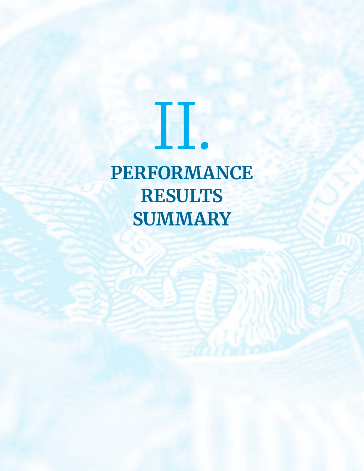# **PERFORMANCE RESULTS SUMMARY**

II.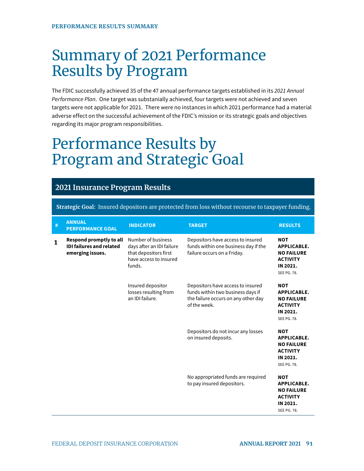# Summary of 2021 Performance Results by Program

The FDIC successfully achieved 35 of the 47 annual performance targets established in its 2021 Annual Performance Plan. One target was substanially achieved, four targets were not achieved and seven targets were not applicable for 2021. There were no instances in which 2021 performance had a material adverse effect on the successful achievement of the FDIC's mission or its strategic goals and objectives regarding its major program responsibilities.  $\overline{a}$ 

# Performance Results by Program and Strategic Goal

#### **Insurance Program Results**

| # | <b>ANNUAL</b><br><b>PERFORMANCE GOAL</b>                                       | <b>INDICATOR</b>                                                                                             | <b>TARGET</b>                                                                                                                 | <b>RESULTS</b>                                                                                             |
|---|--------------------------------------------------------------------------------|--------------------------------------------------------------------------------------------------------------|-------------------------------------------------------------------------------------------------------------------------------|------------------------------------------------------------------------------------------------------------|
| 1 | Respond promptly to all<br><b>IDI failures and related</b><br>emerging issues. | Number of business<br>days after an IDI failure<br>that depositors first<br>have access to insured<br>funds. | Depositors have access to insured<br>funds within one business day if the<br>failure occurs on a Friday.                      | <b>NOT</b><br><b>APPLICABLE.</b><br><b>NO FAILURE</b><br><b>ACTIVITY</b><br>IN 2021.<br><b>SEE PG. 78.</b> |
|   |                                                                                | Insured depositor<br>losses resulting from<br>an IDI failure.                                                | Depositors have access to insured<br>funds within two business days if<br>the failure occurs on any other day<br>of the week. | <b>NOT</b><br>APPLICABLE.<br><b>NO FAILURE</b><br><b>ACTIVITY</b><br>IN 2021.<br><b>SEE PG. 78.</b>        |
|   |                                                                                |                                                                                                              | Depositors do not incur any losses<br>on insured deposits.                                                                    | <b>NOT</b><br><b>APPLICABLE.</b><br><b>NO FAILURE</b><br><b>ACTIVITY</b><br>IN 2021.<br><b>SEE PG. 78.</b> |
|   |                                                                                |                                                                                                              | No appropriated funds are required<br>to pay insured depositors.                                                              | <b>NOT</b><br><b>APPLICABLE.</b><br><b>NO FAILURE</b><br><b>ACTIVITY</b><br>IN 2021.<br><b>SEE PG. 78.</b> |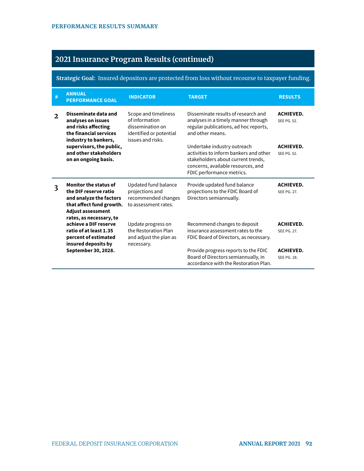| #                                                                                                                                             | <b>ANNUAL</b><br><b>PERFORMANCE GOAL</b>                                                                                  | <b>INDICATOR</b>                                                                                           | <b>TARGET</b>                                                                                                                                                                  | <b>RESULTS</b>                  |
|-----------------------------------------------------------------------------------------------------------------------------------------------|---------------------------------------------------------------------------------------------------------------------------|------------------------------------------------------------------------------------------------------------|--------------------------------------------------------------------------------------------------------------------------------------------------------------------------------|---------------------------------|
| $\mathfrak{D}$                                                                                                                                | Disseminate data and<br>analyses on issues<br>and risks affecting<br>the financial services<br>industry to bankers,       | Scope and timeliness<br>of information<br>dissemination on<br>identified or potential<br>issues and risks. | Disseminate results of research and<br>analyses in a timely manner through<br>regular publications, ad hoc reports,<br>and other means.                                        | <b>ACHIEVED.</b><br>SEE PG. 52. |
|                                                                                                                                               | supervisors, the public,<br>and other stakeholders<br>on an ongoing basis.                                                |                                                                                                            | Undertake industry outreach<br>activities to inform bankers and other<br>stakeholders about current trends,<br>concerns, available resources, and<br>FDIC performance metrics. | <b>ACHIEVED.</b><br>SFF PG 52   |
| <b>Monitor the status of</b><br>3<br>the DIF reserve ratio<br>and analyze the factors<br>that affect fund growth.<br><b>Adjust assessment</b> |                                                                                                                           |                                                                                                            |                                                                                                                                                                                |                                 |
|                                                                                                                                               |                                                                                                                           | Updated fund balance<br>projections and<br>recommended changes<br>to assessment rates.                     | Provide updated fund balance<br>projections to the FDIC Board of<br>Directors semiannually.                                                                                    | <b>ACHIEVED.</b><br>SEE PG. 27. |
|                                                                                                                                               | rates, as necessary, to<br>achieve a DIF reserve<br>ratio of at least 1.35<br>percent of estimated<br>insured deposits by | Update progress on<br>the Restoration Plan<br>and adjust the plan as<br>necessary.                         | Recommend changes to deposit<br>insurance assessment rates to the<br>FDIC Board of Directors, as necessary.                                                                    | <b>ACHIEVED.</b><br>SEE PG. 27. |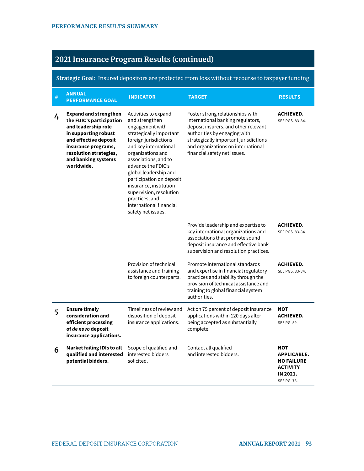| # | <b>ANNUAL</b><br><b>PERFORMANCE GOAL</b>                                                                                                                                                                               | <b>INDICATOR</b>                                                                                                                                                                                                                                                                                                                                                                       | <b>TARGET</b>                                                                                                                                                                                                                                                | <b>RESULTS</b>                                                                                             |
|---|------------------------------------------------------------------------------------------------------------------------------------------------------------------------------------------------------------------------|----------------------------------------------------------------------------------------------------------------------------------------------------------------------------------------------------------------------------------------------------------------------------------------------------------------------------------------------------------------------------------------|--------------------------------------------------------------------------------------------------------------------------------------------------------------------------------------------------------------------------------------------------------------|------------------------------------------------------------------------------------------------------------|
| 4 | <b>Expand and strengthen</b><br>the FDIC's participation<br>and leadership role<br>in supporting robust<br>and effective deposit<br>insurance programs,<br>resolution strategies,<br>and banking systems<br>worldwide. | Activities to expand<br>and strengthen<br>engagement with<br>strategically important<br>foreign jurisdictions<br>and key international<br>organizations and<br>associations, and to<br>advance the FDIC's<br>global leadership and<br>participation on deposit<br>insurance, institution<br>supervision, resolution<br>practices, and<br>international financial<br>safety net issues. | Foster strong relationships with<br>international banking regulators,<br>deposit insurers, and other relevant<br>authorities by engaging with<br>strategically important jurisdictions<br>and organizations on international<br>financial safety net issues. | <b>ACHIEVED.</b><br>SEE PGS. 83-84.                                                                        |
|   |                                                                                                                                                                                                                        |                                                                                                                                                                                                                                                                                                                                                                                        | Provide leadership and expertise to<br>key international organizations and<br>associations that promote sound<br>deposit insurance and effective bank<br>supervision and resolution practices.                                                               | <b>ACHIEVED.</b><br>SEE PGS. 83-84.                                                                        |
|   |                                                                                                                                                                                                                        | Provision of technical<br>assistance and training<br>to foreign counterparts.                                                                                                                                                                                                                                                                                                          | Promote international standards<br>and expertise in financial regulatory<br>practices and stability through the<br>provision of technical assistance and<br>training to global financial system<br>authorities.                                              | <b>ACHIEVED.</b><br>SEE PGS. 83-84.                                                                        |
| 5 | <b>Ensure timely</b><br>consideration and<br>efficient processing<br>of de novo deposit<br>insurance applications.                                                                                                     | Timeliness of review and<br>disposition of deposit<br>insurance applications.                                                                                                                                                                                                                                                                                                          | Act on 75 percent of deposit insurance<br>applications within 120 days after<br>being accepted as substantially<br>complete.                                                                                                                                 | <b>NOT</b><br><b>ACHIEVED.</b><br><b>SEE PG. 59.</b>                                                       |
| 6 | Market failing IDIs to all<br>qualified and interested<br>potential bidders.                                                                                                                                           | Scope of qualified and<br>interested bidders<br>solicited.                                                                                                                                                                                                                                                                                                                             | Contact all qualified<br>and interested bidders.                                                                                                                                                                                                             | <b>NOT</b><br><b>APPLICABLE.</b><br><b>NO FAILURE</b><br><b>ACTIVITY</b><br>IN 2021.<br><b>SEE PG. 78.</b> |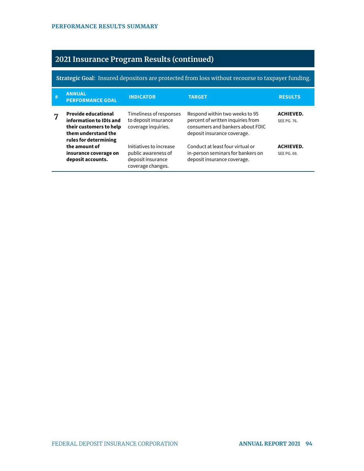| # | <b>ANNUAL</b><br><b>PERFORMANCE GOAL</b>                                                                                         | <b>INDICATOR</b>                                                                         | <b>TARGET</b>                                                                                                                          | <b>RESULTS</b>                  |
|---|----------------------------------------------------------------------------------------------------------------------------------|------------------------------------------------------------------------------------------|----------------------------------------------------------------------------------------------------------------------------------------|---------------------------------|
| 7 | <b>Provide educational</b><br>information to IDIs and<br>their customers to help<br>them understand the<br>rules for determining | Timeliness of responses<br>to deposit insurance<br>coverage inquiries.                   | Respond within two weeks to 95<br>percent of written inquiries from<br>consumers and bankers about FDIC<br>deposit insurance coverage. | <b>ACHIEVED.</b><br>SEE PG. 76. |
|   | the amount of<br>insurance coverage on<br>deposit accounts.                                                                      | Initiatives to increase<br>public awareness of<br>deposit insurance<br>coverage changes. | Conduct at least four virtual or<br>in-person seminars for bankers on<br>deposit insurance coverage.                                   | <b>ACHIEVED.</b><br>SEE PG. 69. |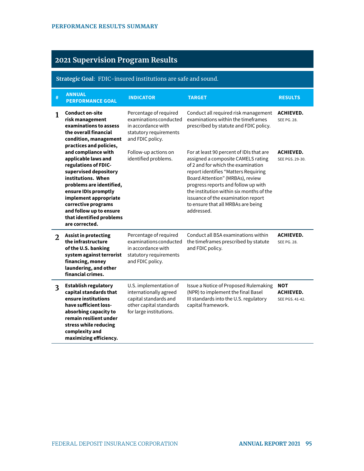# **2021 Supervision Program Results**

#### **Strategic Goal**: FDIC-insured institutions are safe and sound.

| #                                                                                                                                                     | <b>ANNUAL</b><br><b>PERFORMANCE GOAL</b>                                                                                                                                                                                                                                                       | <b>INDICATOR</b><br><b>TARGET</b>                                                                                               |                                                                                                                                                                                                                                                                                                                                                                               | <b>RESULTS</b>                                    |
|-------------------------------------------------------------------------------------------------------------------------------------------------------|------------------------------------------------------------------------------------------------------------------------------------------------------------------------------------------------------------------------------------------------------------------------------------------------|---------------------------------------------------------------------------------------------------------------------------------|-------------------------------------------------------------------------------------------------------------------------------------------------------------------------------------------------------------------------------------------------------------------------------------------------------------------------------------------------------------------------------|---------------------------------------------------|
| <b>Conduct on-site</b><br>1<br>risk management<br>examinations to assess<br>the overall financial<br>condition, management<br>practices and policies, |                                                                                                                                                                                                                                                                                                | Percentage of required<br>examinations conducted<br>in accordance with<br>statutory requirements<br>and FDIC policy.            | Conduct all required risk management<br>examinations within the timeframes<br>prescribed by statute and FDIC policy.                                                                                                                                                                                                                                                          | <b>ACHIEVED.</b><br><b>SEE PG. 28.</b>            |
|                                                                                                                                                       | and compliance with<br>applicable laws and<br>regulations of FDIC-<br>supervised depository<br>institutions. When<br>problems are identified,<br>ensure IDIs promptly<br>implement appropriate<br>corrective programs<br>and follow up to ensure<br>that identified problems<br>are corrected. | Follow-up actions on<br>identified problems.                                                                                    | For at least 90 percent of IDIs that are<br>assigned a composite CAMELS rating<br>of 2 and for which the examination<br>report identifies "Matters Requiring<br>Board Attention" (MRBAs), review<br>progress reports and follow up with<br>the institution within six months of the<br>issuance of the examination report<br>to ensure that all MRBAs are being<br>addressed. | <b>ACHIEVED.</b><br>SEE PGS, 29-30.               |
| 2                                                                                                                                                     | Percentage of required<br>Assist in protecting<br>the infrastructure<br>examinations conducted<br>of the U.S. banking<br>in accordance with<br>system against terrorist<br>statutory requirements<br>financing, money<br>and FDIC policy.<br>laundering, and other<br>financial crimes.        |                                                                                                                                 | Conduct all BSA examinations within<br>the timeframes prescribed by statute<br>and FDIC policy.                                                                                                                                                                                                                                                                               | <b>ACHIEVED.</b><br><b>SEE PG. 28.</b>            |
| $\overline{\mathbf{3}}$                                                                                                                               | <b>Establish regulatory</b><br>capital standards that<br>ensure institutions<br>have sufficient loss-<br>absorbing capacity to<br>remain resilient under<br>stress while reducing<br>complexity and<br>maximizing efficiency.                                                                  | U.S. implementation of<br>internationally agreed<br>capital standards and<br>other capital standards<br>for large institutions. | Issue a Notice of Proposed Rulemaking<br>(NPR) to implement the final Basel<br>III standards into the U.S. regulatory<br>capital framework.                                                                                                                                                                                                                                   | <b>NOT</b><br><b>ACHIEVED.</b><br>SEE PGS. 41-42. |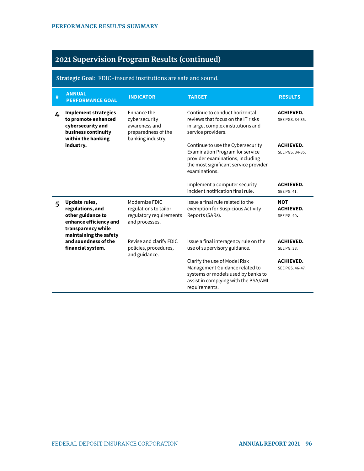#### **Strategic Goal**: FDIC-insured institutions are safe and sound.

| $\#$ | <b>ANNUAL</b><br><b>PERFORMANCE GOAL</b>                                                                                         | <b>INDICATOR</b>                                                                          | <b>TARGET</b>                                                                                                                                                                                                                                                                                                 | <b>RESULTS</b>                                |
|------|----------------------------------------------------------------------------------------------------------------------------------|-------------------------------------------------------------------------------------------|---------------------------------------------------------------------------------------------------------------------------------------------------------------------------------------------------------------------------------------------------------------------------------------------------------------|-----------------------------------------------|
| 4    | <b>Implement strategies</b><br>to promote enhanced<br>cybersecurity and<br>business continuity<br>within the banking             | Enhance the<br>cybersecurity<br>awareness and<br>preparedness of the<br>banking industry. | Continue to conduct horizontal<br>reviews that focus on the IT risks<br>in large, complex institutions and<br>service providers.<br>Continue to use the Cybersecurity<br><b>Examination Program for service</b><br>provider examinations, including<br>the most significant service provider<br>examinations. |                                               |
|      | industry.                                                                                                                        |                                                                                           |                                                                                                                                                                                                                                                                                                               |                                               |
|      |                                                                                                                                  |                                                                                           | Implement a computer security<br>incident notification final rule.                                                                                                                                                                                                                                            | <b>ACHIEVED.</b><br>SEE PG. 41.               |
| 5    | Update rules,<br>regulations, and<br>other guidance to<br>enhance efficiency and<br>transparency while<br>maintaining the safety | Modernize FDIC<br>regulations to tailor<br>regulatory requirements<br>and processes.      | Issue a final rule related to the<br>exemption for Suspicious Activity<br>Reports (SARs).                                                                                                                                                                                                                     | <b>NOT</b><br><b>ACHIEVED.</b><br>SEE PG. 40. |
|      | and soundness of the<br>Revise and clarify FDIC<br>financial system.<br>policies, procedures,<br>and guidance.                   |                                                                                           | Issue a final interagency rule on the<br>use of supervisory guidance.                                                                                                                                                                                                                                         | <b>ACHIEVED.</b><br>SEE PG. 38.               |
|      |                                                                                                                                  |                                                                                           | Clarify the use of Model Risk<br>Management Guidance related to<br>systems or models used by banks to<br>assist in complying with the BSA/AML<br>requirements.                                                                                                                                                | <b>ACHIEVED.</b><br>SEE PGS. 46-47.           |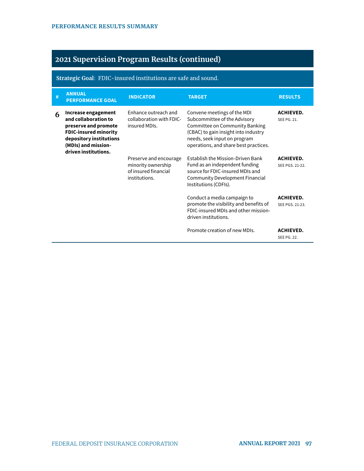#### **Strategic Goal**: FDIC-insured institutions are safe and sound.

| # | <b>ANNUAL</b><br><b>PERFORMANCE GOAL</b>                                                                                                                                      | <b>INDICATOR</b>                                                                      | <b>TARGET</b>                                                                                                                                                                                                  | <b>RESULTS</b>                      |
|---|-------------------------------------------------------------------------------------------------------------------------------------------------------------------------------|---------------------------------------------------------------------------------------|----------------------------------------------------------------------------------------------------------------------------------------------------------------------------------------------------------------|-------------------------------------|
| 6 | Increase engagement<br>and collaboration to<br>preserve and promote<br><b>FDIC-insured minority</b><br>depository institutions<br>(MDIs) and mission-<br>driven institutions. | Enhance outreach and<br>collaboration with FDIC-<br>insured MDIs.                     | Convene meetings of the MDI<br>Subcommittee of the Advisory<br>Committee on Community Banking<br>(CBAC) to gain insight into industry<br>needs, seek input on program<br>operations, and share best practices. | <b>ACHIEVED.</b><br>SEE PG. 21.     |
|   |                                                                                                                                                                               | Preserve and encourage<br>minority ownership<br>of insured financial<br>institutions. | <b>Establish the Mission-Driven Bank</b><br>Fund as an independent funding<br>source for FDIC-insured MDIs and<br>Community Development Financial<br>Institutions (CDFIs).                                     | <b>ACHIEVED.</b><br>SEE PGS. 21-22. |
|   |                                                                                                                                                                               |                                                                                       | Conduct a media campaign to<br>promote the visibility and benefits of<br>FDIC-insured MDIs and other mission-<br>driven institutions.                                                                          | <b>ACHIEVED.</b><br>SEE PGS, 21-23. |
|   |                                                                                                                                                                               |                                                                                       | Promote creation of new MDIs.                                                                                                                                                                                  | <b>ACHIEVED.</b><br>SEE PG. 22.     |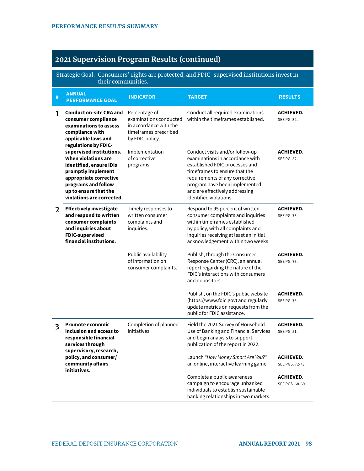Strategic Goal: Consumers' rights are protected, and FDIC-supervised institutions invest in their communities.

| $\#$                                                                                                                                                   | <b>ANNUAL</b><br><b>PERFORMANCE GOAL</b>                                                                                                                                                                | <b>INDICATOR</b>                                                                                              | <b>TARGET</b>                                                                                                                                                                                                                                                        | <b>RESULTS</b>                         |
|--------------------------------------------------------------------------------------------------------------------------------------------------------|---------------------------------------------------------------------------------------------------------------------------------------------------------------------------------------------------------|---------------------------------------------------------------------------------------------------------------|----------------------------------------------------------------------------------------------------------------------------------------------------------------------------------------------------------------------------------------------------------------------|----------------------------------------|
| <b>Conduct on-site CRA and</b><br>1<br>consumer compliance<br>examinations to assess<br>compliance with<br>applicable laws and<br>regulations by FDIC- |                                                                                                                                                                                                         | Percentage of<br>examinations conducted<br>in accordance with the<br>timeframes prescribed<br>by FDIC policy. | Conduct all required examinations<br>within the timeframes established.                                                                                                                                                                                              | <b>ACHIEVED.</b><br>SEE PG. 32.        |
|                                                                                                                                                        | supervised institutions.<br>When violations are<br>identified, ensure IDIs<br>promptly implement<br>appropriate corrective<br>programs and follow<br>up to ensure that the<br>violations are corrected. | Implementation<br>of corrective<br>programs.                                                                  | Conduct visits and/or follow-up<br>examinations in accordance with<br>established FDIC processes and<br>timeframes to ensure that the<br>requirements of any corrective<br>program have been implemented<br>and are effectively addressing<br>identified violations. | <b>ACHIEVED.</b><br>SEE PG. 32.        |
| 2                                                                                                                                                      | <b>Effectively investigate</b><br>and respond to written<br>consumer complaints<br>and inquiries about<br><b>FDIC-supervised</b><br>financial institutions.                                             | Timely responses to<br>written consumer<br>complaints and<br>inquiries.                                       | Respond to 95 percent of written<br>consumer complaints and inquiries<br>within timeframes established<br>by policy, with all complaints and<br>inquiries receiving at least an initial<br>acknowledgement within two weeks.                                         | <b>ACHIEVED.</b><br><b>SEE PG. 76.</b> |
|                                                                                                                                                        |                                                                                                                                                                                                         | Public availability<br>of information on<br>consumer complaints.                                              | Publish, through the Consumer<br>Response Center (CRC), an annual<br>report regarding the nature of the<br>FDIC's interactions with consumers<br>and depositors.                                                                                                     | <b>ACHIEVED.</b><br><b>SEE PG. 76.</b> |
|                                                                                                                                                        |                                                                                                                                                                                                         |                                                                                                               | Publish, on the FDIC's public website<br>(https://www.fdic.gov) and regularly<br>update metrics on requests from the<br>public for FDIC assistance.                                                                                                                  | <b>ACHIEVED.</b><br><b>SEE PG. 76.</b> |
| $\overline{\mathbf{3}}$                                                                                                                                | <b>Promote economic</b><br>inclusion and access to<br>responsible financial<br>services through<br>supervisory, research,                                                                               | Completion of planned<br>initiatives.                                                                         | Field the 2021 Survey of Household<br>Use of Banking and Financial Services<br>and begin analysis to support<br>publication of the report in 2022.                                                                                                                   | <b>ACHIEVED.</b><br><b>SEE PG. 51.</b> |
|                                                                                                                                                        | policy, and consumer/<br>community affairs                                                                                                                                                              |                                                                                                               | Launch "How Money Smart Are You?"<br>an online, interactive learning game.                                                                                                                                                                                           | <b>ACHIEVED.</b><br>SEE PGS. 72-73.    |
|                                                                                                                                                        | initiatives.                                                                                                                                                                                            |                                                                                                               | Complete a public awareness<br>campaign to encourage unbanked<br>individuals to establish sustainable<br>banking relationships in two markets.                                                                                                                       | <b>ACHIEVED.</b><br>SEE PGS. 68-69.    |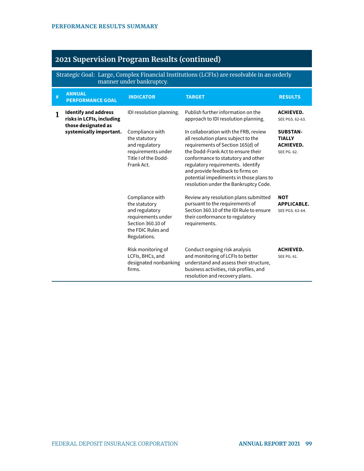Strategic Goal: Large, Complex Financial Institutions (LCFIs) are resolvable in an orderly manner under bankruptcy.

| # | <b>ANNUAL</b><br><b>PERFORMANCE GOAL</b>                                        | <b>INDICATOR</b>                                                                                                                    | <b>TARGET</b>                                                                                                                                                                                                                                                                                                                                              | <b>RESULTS</b>                                                      |
|---|---------------------------------------------------------------------------------|-------------------------------------------------------------------------------------------------------------------------------------|------------------------------------------------------------------------------------------------------------------------------------------------------------------------------------------------------------------------------------------------------------------------------------------------------------------------------------------------------------|---------------------------------------------------------------------|
| 1 | <b>Identify and address</b><br>risks in LCFIs, including<br>those designated as | IDI resolution planning.                                                                                                            | Publish further information on the<br>approach to IDI resolution planning.                                                                                                                                                                                                                                                                                 | <b>ACHIEVED.</b><br>SEE PGS. 62-63.                                 |
|   | systemically important.                                                         | Compliance with<br>the statutory<br>and regulatory<br>requirements under<br>Title I of the Dodd-<br>Frank Act.                      | In collaboration with the FRB, review<br>all resolution plans subject to the<br>requirements of Section 165(d) of<br>the Dodd-Frank Act to ensure their<br>conformance to statutory and other<br>regulatory requirements. Identify<br>and provide feedback to firms on<br>potential impediments in those plans to<br>resolution under the Bankruptcy Code. | <b>SUBSTAN-</b><br><b>TIALLY</b><br><b>ACHIEVED.</b><br>SEE PG. 62. |
|   |                                                                                 | Compliance with<br>the statutory<br>and regulatory<br>requirements under<br>Section 360.10 of<br>the FDIC Rules and<br>Regulations. | Review any resolution plans submitted<br>pursuant to the requirements of<br>Section 360.10 of the IDI Rule to ensure<br>their conformance to regulatory<br>requirements.                                                                                                                                                                                   | <b>NOT</b><br><b>APPLICABLE.</b><br>SEE PGS. 63-64.                 |
|   |                                                                                 | Risk monitoring of<br>LCFIs, BHCs, and<br>designated nonbanking<br>firms.                                                           | Conduct ongoing risk analysis<br>and monitoring of LCFIs to better<br>understand and assess their structure,<br>business activities, risk profiles, and<br>resolution and recovery plans.                                                                                                                                                                  | <b>ACHIEVED.</b><br>SEE PG. 61.                                     |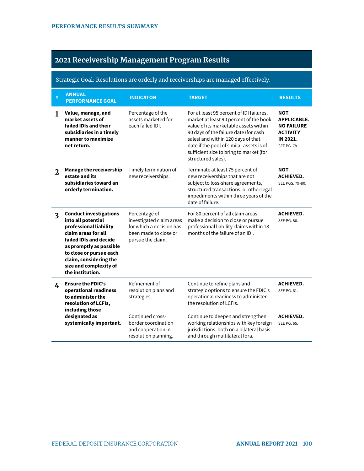## **2021 Receivership Management Program Results**

#### Strategic Goal: Resolutions are orderly and receiverships are managed effectively.

| # | <b>ANNUAL</b><br><b>PERFORMANCE GOAL</b>                                                                                                                                                                                                                                                                                                                                            | <b>INDICATOR</b>                                                                      | <b>TARGET</b>                                                                                                                                                                                                                                                                                                           | <b>RESULTS</b>                                                                                             |  |
|---|-------------------------------------------------------------------------------------------------------------------------------------------------------------------------------------------------------------------------------------------------------------------------------------------------------------------------------------------------------------------------------------|---------------------------------------------------------------------------------------|-------------------------------------------------------------------------------------------------------------------------------------------------------------------------------------------------------------------------------------------------------------------------------------------------------------------------|------------------------------------------------------------------------------------------------------------|--|
| 1 | Value, manage, and<br>market assets of<br>failed IDIs and their<br>subsidiaries in a timely<br>manner to maximize<br>net return.                                                                                                                                                                                                                                                    | Percentage of the<br>assets marketed for<br>each failed IDL                           | For at least 95 percent of IDI failures,<br>market at least 90 percent of the book<br>value of its marketable assets within<br>90 days of the failure date (for cash<br>sales) and within 120 days of that<br>date if the pool of similar assets is of<br>sufficient size to bring to market (for<br>structured sales). | <b>NOT</b><br><b>APPLICABLE.</b><br><b>NO FAILURE</b><br><b>ACTIVITY</b><br>IN 2021.<br><b>SEE PG. 78.</b> |  |
| 2 | <b>Manage the receivership</b><br>estate and its<br>subsidiaries toward an<br>orderly termination.                                                                                                                                                                                                                                                                                  | Timely termination of<br>new receiverships.                                           | Terminate at least 75 percent of<br>new receiverships that are not<br>subject to loss-share agreements,<br>structured transactions, or other legal<br>impediments within three years of the<br>date of failure.                                                                                                         | <b>NOT</b><br><b>ACHIEVED.</b><br>SEE PGS. 79-80.                                                          |  |
| 3 | <b>Conduct investigations</b><br>Percentage of<br>into all potential<br>investigated claim areas<br>professional liability<br>for which a decision has<br>claim areas for all<br>been made to close or<br>failed IDIs and decide<br>pursue the claim.<br>as promptly as possible<br>to close or pursue each<br>claim, considering the<br>size and complexity of<br>the institution. |                                                                                       | For 80 percent of all claim areas,<br>make a decision to close or pursue<br>professional liability claims within 18<br>months of the failure of an IDI.                                                                                                                                                                 | <b>ACHIEVED.</b><br><b>SEE PG. 80.</b>                                                                     |  |
| 4 | <b>Ensure the FDIC's</b><br>operational readiness<br>to administer the<br>resolution of LCFIs,<br>including those                                                                                                                                                                                                                                                                   | Refinement of<br>resolution plans and<br>strategies.                                  | Continue to refine plans and<br>strategic options to ensure the FDIC's<br>operational readiness to administer<br>the resolution of LCFIs.                                                                                                                                                                               | <b>ACHIEVED.</b><br>SEE PG. 61.                                                                            |  |
|   | designated as<br>systemically important.                                                                                                                                                                                                                                                                                                                                            | Continued cross-<br>border coordination<br>and cooperation in<br>resolution planning. | Continue to deepen and strengthen<br>working relationships with key foreign<br>jurisdictions, both on a bilateral basis<br>and through multilateral fora.                                                                                                                                                               | <b>ACHIEVED.</b><br><b>SEE PG. 65.</b>                                                                     |  |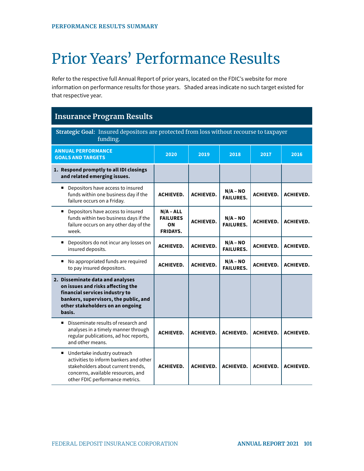# Prior Years' Performance Results

Refer to the respective full Annual Report of prior years, located on the FDIC's website for more information on performance results for those years. Shaded areas indicate no such target existed for that respective year.

| <b>Insurance Program Results</b>                                                                                                                                                               |                                                         |                  |                                |                  |                  |  |
|------------------------------------------------------------------------------------------------------------------------------------------------------------------------------------------------|---------------------------------------------------------|------------------|--------------------------------|------------------|------------------|--|
| Strategic Goal: Insured depositors are protected from loss without recourse to taxpayer<br>funding.                                                                                            |                                                         |                  |                                |                  |                  |  |
| <b>ANNUAL PERFORMANCE</b><br><b>GOALS AND TARGETS</b>                                                                                                                                          | 2020                                                    | 2019             | 2018                           | 2017             | 2016             |  |
| 1. Respond promptly to all IDI closings<br>and related emerging issues.                                                                                                                        |                                                         |                  |                                |                  |                  |  |
| Depositors have access to insured<br>٠<br>funds within one business day if the<br>failure occurs on a Friday.                                                                                  | <b>ACHIEVED.</b>                                        | <b>ACHIEVED.</b> | $N/A - NO$<br><b>FAILURES.</b> | <b>ACHIEVED.</b> | <b>ACHIEVED.</b> |  |
| ■ Depositors have access to insured<br>funds within two business days if the<br>failure occurs on any other day of the<br>week.                                                                | $N/A - ALL$<br><b>FAILURES</b><br>ON<br><b>FRIDAYS.</b> | <b>ACHIEVED.</b> | $N/A - NO$<br><b>FAILURES.</b> | <b>ACHIEVED.</b> | <b>ACHIEVED.</b> |  |
| ■ Depositors do not incur any losses on<br>insured deposits.                                                                                                                                   | <b>ACHIEVED.</b>                                        | <b>ACHIEVED.</b> | $N/A - NO$<br><b>FAILURES.</b> | <b>ACHIEVED.</b> | <b>ACHIEVED.</b> |  |
| No appropriated funds are required<br>to pay insured depositors.                                                                                                                               | <b>ACHIEVED.</b>                                        | <b>ACHIEVED.</b> | $N/A - NO$<br><b>FAILURES.</b> | <b>ACHIEVED.</b> | <b>ACHIEVED.</b> |  |
| 2. Disseminate data and analyses<br>on issues and risks affecting the<br>financial services industry to<br>bankers, supervisors, the public, and<br>other stakeholders on an ongoing<br>basis. |                                                         |                  |                                |                  |                  |  |
| Disseminate results of research and<br>analyses in a timely manner through<br>regular publications, ad hoc reports,<br>and other means.                                                        | <b>ACHIEVED.</b>                                        | <b>ACHIEVED.</b> | <b>ACHIEVED.</b>               | <b>ACHIEVED.</b> | <b>ACHIEVED.</b> |  |
| ■ Undertake industry outreach<br>activities to inform bankers and other<br>stakeholders about current trends,<br>concerns, available resources, and<br>other FDIC performance metrics.         | <b>ACHIEVED.</b>                                        | <b>ACHIEVED.</b> | <b>ACHIEVED.</b>               | <b>ACHIEVED.</b> | <b>ACHIEVED.</b> |  |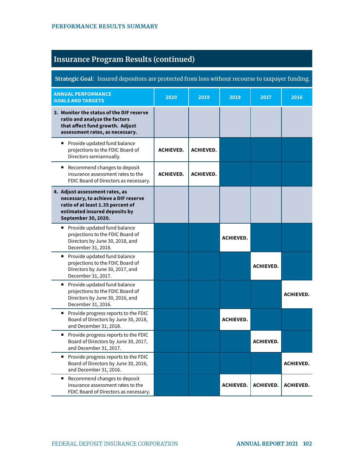| Strategic Goal: Insured depositors are protected from loss without recourse to taxpayer funding.                                                                   |                  |                  |                  |                  |                  |
|--------------------------------------------------------------------------------------------------------------------------------------------------------------------|------------------|------------------|------------------|------------------|------------------|
| <b>ANNUAL PERFORMANCE</b><br><b>GOALS AND TARGETS</b>                                                                                                              | 2020             | 2019             | 2018             | 2017             | 2016             |
| 3. Monitor the status of the DIF reserve<br>ratio and analyze the factors<br>that affect fund growth. Adjust<br>assessment rates, as necessary.                    |                  |                  |                  |                  |                  |
| Provide updated fund balance<br>projections to the FDIC Board of<br>Directors semiannually.                                                                        | <b>ACHIEVED.</b> | <b>ACHIEVED.</b> |                  |                  |                  |
| ■ Recommend changes to deposit<br>insurance assessment rates to the<br>FDIC Board of Directors as necessary.                                                       | <b>ACHIEVED.</b> | <b>ACHIEVED.</b> |                  |                  |                  |
| 4. Adjust assessment rates, as<br>necessary, to achieve a DIF reserve<br>ratio of at least 1.35 percent of<br>estimated insured deposits by<br>September 30, 2020. |                  |                  |                  |                  |                  |
| Provide updated fund balance<br>projections to the FDIC Board of<br>Directors by June 30, 2018, and<br>December 31, 2018.                                          |                  |                  | <b>ACHIEVED.</b> |                  |                  |
| Provide updated fund balance<br>projections to the FDIC Board of<br>Directors by June 30, 2017, and<br>December 31, 2017.                                          |                  |                  |                  | <b>ACHIEVED.</b> |                  |
| Provide updated fund balance<br>projections to the FDIC Board of<br>Directors by June 30, 2016, and<br>December 31, 2016.                                          |                  |                  |                  |                  | <b>ACHIEVED.</b> |
| Provide progress reports to the FDIC<br>Board of Directors by June 30, 2018,<br>and December 31, 2018.                                                             |                  |                  | <b>ACHIEVED.</b> |                  |                  |
| Provide progress reports to the FDIC<br>Board of Directors by June 30, 2017,<br>and December 31, 2017.                                                             |                  |                  |                  | <b>ACHIEVED.</b> |                  |
| Provide progress reports to the FDIC<br>Board of Directors by June 30, 2016,<br>and December 31, 2016.                                                             |                  |                  |                  |                  | <b>ACHIEVED.</b> |
| Recommend changes to deposit<br>٠<br>insurance assessment rates to the<br>FDIC Board of Directors as necessary.                                                    |                  |                  | <b>ACHIEVED.</b> | <b>ACHIEVED.</b> | <b>ACHIEVED.</b> |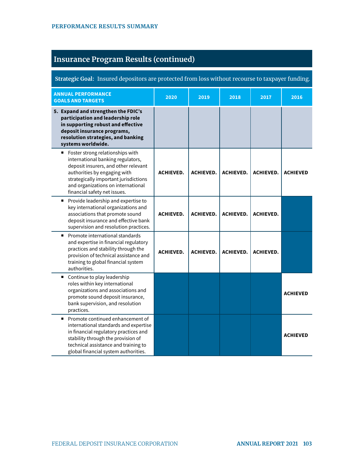| Strategic Goal: Insured depositors are protected from loss without recourse to taxpayer funding.                                                                                                                                                             |                  |                  |                  |                  |                 |
|--------------------------------------------------------------------------------------------------------------------------------------------------------------------------------------------------------------------------------------------------------------|------------------|------------------|------------------|------------------|-----------------|
| <b>ANNUAL PERFORMANCE</b><br><b>GOALS AND TARGETS</b>                                                                                                                                                                                                        | 2020             | 2019             | 2018             | 2017             | 2016            |
| 5. Expand and strengthen the FDIC's<br>participation and leadership role<br>in supporting robust and effective<br>deposit insurance programs,<br>resolution strategies, and banking<br>systems worldwide.                                                    |                  |                  |                  |                  |                 |
| Foster strong relationships with<br>international banking regulators,<br>deposit insurers, and other relevant<br>authorities by engaging with<br>strategically important jurisdictions<br>and organizations on international<br>financial safety net issues. | <b>ACHIEVED.</b> | <b>ACHIEVED.</b> | <b>ACHIEVED.</b> | <b>ACHIEVED.</b> | <b>ACHIEVED</b> |
| Provide leadership and expertise to<br>٠<br>key international organizations and<br>associations that promote sound<br>deposit insurance and effective bank<br>supervision and resolution practices.                                                          | <b>ACHIEVED.</b> | <b>ACHIEVED.</b> | <b>ACHIEVED.</b> | <b>ACHIEVED.</b> |                 |
| Promote international standards<br>٠<br>and expertise in financial regulatory<br>practices and stability through the<br>provision of technical assistance and<br>training to global financial system<br>authorities.                                         | <b>ACHIEVED.</b> | <b>ACHIEVED.</b> | <b>ACHIEVED.</b> | <b>ACHIEVED.</b> |                 |
| Continue to play leadership<br>٠<br>roles within key international<br>organizations and associations and<br>promote sound deposit insurance,<br>bank supervision, and resolution<br>practices.                                                               |                  |                  |                  |                  | <b>ACHIEVED</b> |
| Promote continued enhancement of<br>٠<br>international standards and expertise<br>in financial regulatory practices and<br>stability through the provision of<br>technical assistance and training to<br>global financial system authorities.                |                  |                  |                  |                  | <b>ACHIEVED</b> |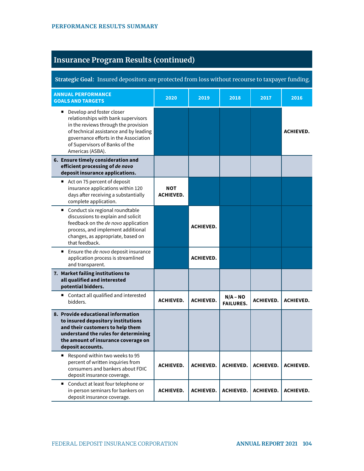| Strategic Goal: Insured depositors are protected from loss without recourse to taxpayer funding.                                                                                                                                                  |                                |                  |                                |                  |                  |
|---------------------------------------------------------------------------------------------------------------------------------------------------------------------------------------------------------------------------------------------------|--------------------------------|------------------|--------------------------------|------------------|------------------|
| <b>ANNUAL PERFORMANCE</b><br><b>GOALS AND TARGETS</b>                                                                                                                                                                                             | 2020                           | 2019             | 2018                           | 2017             | 2016             |
| Develop and foster closer<br>relationships with bank supervisors<br>in the reviews through the provision<br>of technical assistance and by leading<br>governance efforts in the Association<br>of Supervisors of Banks of the<br>Americas (ASBA). |                                |                  |                                |                  | <b>ACHIEVED.</b> |
| 6. Ensure timely consideration and<br>efficient processing of de novo<br>deposit insurance applications.                                                                                                                                          |                                |                  |                                |                  |                  |
| ■ Act on 75 percent of deposit<br>insurance applications within 120<br>days after receiving a substantially<br>complete application.                                                                                                              | <b>NOT</b><br><b>ACHIEVED.</b> |                  |                                |                  |                  |
| Conduct six regional roundtable<br>$\blacksquare$<br>discussions to explain and solicit<br>feedback on the de novo application<br>process, and implement additional<br>changes, as appropriate, based on<br>that feedback.                        |                                | <b>ACHIEVED.</b> |                                |                  |                  |
| ■ Ensure the de novo deposit insurance<br>application process is streamlined<br>and transparent.                                                                                                                                                  |                                | <b>ACHIEVED.</b> |                                |                  |                  |
| 7. Market failing institutions to<br>all qualified and interested<br>potential bidders.                                                                                                                                                           |                                |                  |                                |                  |                  |
| ■ Contact all qualified and interested<br>bidders.                                                                                                                                                                                                | <b>ACHIEVED.</b>               | <b>ACHIEVED.</b> | $N/A - NO$<br><b>FAILURES.</b> | <b>ACHIEVED.</b> | <b>ACHIEVED.</b> |
| 8. Provide educational information<br>to insured depository institutions<br>and their customers to help them<br>understand the rules for determining<br>the amount of insurance coverage on<br>deposit accounts.                                  |                                |                  |                                |                  |                  |
| Respond within two weeks to 95<br>percent of written inquiries from<br>consumers and bankers about FDIC<br>deposit insurance coverage.                                                                                                            | <b>ACHIEVED.</b>               | <b>ACHIEVED.</b> | <b>ACHIEVED.</b>               | <b>ACHIEVED.</b> | <b>ACHIEVED.</b> |
| ■ Conduct at least four telephone or<br>in-person seminars for bankers on<br>deposit insurance coverage.                                                                                                                                          | <b>ACHIEVED.</b>               | <b>ACHIEVED.</b> | <b>ACHIEVED.</b>               | <b>ACHIEVED.</b> | <b>ACHIEVED.</b> |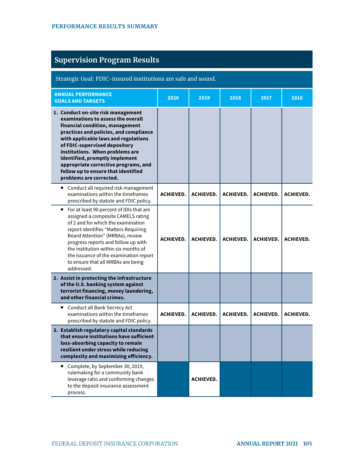| <b>Supervision Program Results</b>                                                                                                                                                                                                                                                                                                                                                                            |                  |                  |                  |                  |                  |
|---------------------------------------------------------------------------------------------------------------------------------------------------------------------------------------------------------------------------------------------------------------------------------------------------------------------------------------------------------------------------------------------------------------|------------------|------------------|------------------|------------------|------------------|
| Strategic Goal: FDIC-insured institutions are safe and sound.                                                                                                                                                                                                                                                                                                                                                 |                  |                  |                  |                  |                  |
| <b>ANNUAL PERFORMANCE</b><br><b>GOALS AND TARGETS</b>                                                                                                                                                                                                                                                                                                                                                         | 2020             | 2019             | 2018             | 2017             | 2016             |
| 1. Conduct on-site risk management<br>examinations to assess the overall<br>financial condition, management<br>practices and policies, and compliance<br>with applicable laws and regulations<br>of FDIC-supervised depository<br>institutions. When problems are<br>identified, promptly implement<br>appropriate corrective programs, and<br>follow up to ensure that identified<br>problems are corrected. |                  |                  |                  |                  |                  |
| Conduct all required risk management<br>examinations within the timeframes<br>prescribed by statute and FDIC policy.                                                                                                                                                                                                                                                                                          | <b>ACHIEVED.</b> | <b>ACHIEVED.</b> | <b>ACHIEVED.</b> | <b>ACHIEVED.</b> | <b>ACHIEVED.</b> |
| For at least 90 percent of IDIs that are<br>assigned a composite CAMELS rating<br>of 2 and for which the examination<br>report identifies "Matters Requiring<br>Board Attention" (MRBAs), review<br>progress reports and follow up with<br>the institution within six months of<br>the issuance of the examination report<br>to ensure that all MRBAs are being<br>addressed.                                 | <b>ACHIEVED.</b> | <b>ACHIEVED.</b> | <b>ACHIEVED.</b> | <b>ACHIEVED.</b> | <b>ACHIEVED.</b> |
| 2. Assist in protecting the infrastructure<br>of the U.S. banking system against<br>terrorist financing, money laundering,<br>and other financial crimes.                                                                                                                                                                                                                                                     |                  |                  |                  |                  |                  |
| Conduct all Bank Secrecy Act<br>examinations within the timeframes<br>prescribed by statute and FDIC policy.                                                                                                                                                                                                                                                                                                  | <b>ACHIEVED.</b> | <b>ACHIEVED.</b> | <b>ACHIEVED.</b> | <b>ACHIEVED.</b> | <b>ACHIEVED.</b> |
| 3. Establish regulatory capital standards<br>that ensure institutions have sufficient<br>loss-absorbing capacity to remain<br>resilient under stress while reducing<br>complexity and maximizing efficiency.                                                                                                                                                                                                  |                  |                  |                  |                  |                  |
| Complete, by September 30, 2019,<br>rulemaking for a community bank<br>leverage ratio and conforming changes<br>to the deposit insurance assessment<br>process.                                                                                                                                                                                                                                               |                  | <b>ACHIEVED.</b> |                  |                  |                  |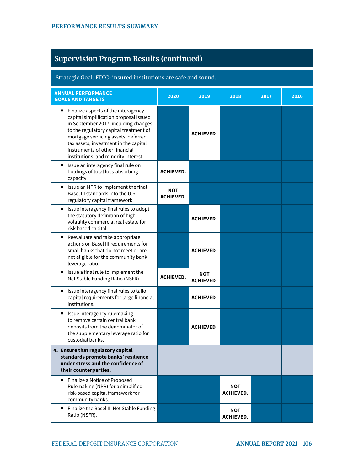| <b>Supervision Program Results (continued)</b>                                                                                                                                                                                                                                                                                 |                         |                        |                                |      |      |
|--------------------------------------------------------------------------------------------------------------------------------------------------------------------------------------------------------------------------------------------------------------------------------------------------------------------------------|-------------------------|------------------------|--------------------------------|------|------|
| Strategic Goal: FDIC-insured institutions are safe and sound.                                                                                                                                                                                                                                                                  |                         |                        |                                |      |      |
| <b>ANNUAL PERFORMANCE</b><br><b>GOALS AND TARGETS</b>                                                                                                                                                                                                                                                                          | 2020                    | 2019                   | 2018                           | 2017 | 2016 |
| Finalize aspects of the interagency<br>п<br>capital simplification proposal issued<br>in September 2017, including changes<br>to the regulatory capital treatment of<br>mortgage servicing assets, deferred<br>tax assets, investment in the capital<br>instruments of other financial<br>institutions, and minority interest. |                         | <b>ACHIEVED</b>        |                                |      |      |
| Issue an interagency final rule on<br>п<br>holdings of total loss-absorbing<br>capacity.                                                                                                                                                                                                                                       | <b>ACHIEVED.</b>        |                        |                                |      |      |
| ■ Issue an NPR to implement the final<br>Basel III standards into the U.S.<br>regulatory capital framework.                                                                                                                                                                                                                    | NOT<br><b>ACHIEVED.</b> |                        |                                |      |      |
| ■ Issue interagency final rules to adopt<br>the statutory definition of high<br>volatility commercial real estate for<br>risk based capital.                                                                                                                                                                                   |                         | <b>ACHIEVED</b>        |                                |      |      |
| Reevaluate and take appropriate<br>п<br>actions on Basel III requirements for<br>small banks that do not meet or are<br>not eligible for the community bank<br>leverage ratio.                                                                                                                                                 |                         | <b>ACHIEVED</b>        |                                |      |      |
| ■ Issue a final rule to implement the<br>Net Stable Funding Ratio (NSFR).                                                                                                                                                                                                                                                      | <b>ACHIEVED.</b>        | NOT<br><b>ACHIEVED</b> |                                |      |      |
| ■ Issue interagency final rules to tailor<br>capital requirements for large financial<br>institutions.                                                                                                                                                                                                                         |                         | <b>ACHIEVED</b>        |                                |      |      |
| Issue interagency rulemaking<br>■<br>to remove certain central bank<br>deposits from the denominator of<br>the supplementary leverage ratio for<br>custodial banks.                                                                                                                                                            |                         | <b>ACHIEVED</b>        |                                |      |      |
| 4. Ensure that regulatory capital<br>standards promote banks' resilience<br>under stress and the confidence of<br>their counterparties.                                                                                                                                                                                        |                         |                        |                                |      |      |
| Finalize a Notice of Proposed<br>п<br>Rulemaking (NPR) for a simplified<br>risk-based capital framework for<br>community banks.                                                                                                                                                                                                |                         |                        | NOT<br><b>ACHIEVED.</b>        |      |      |
| Finalize the Basel III Net Stable Funding<br>Ratio (NSFR).                                                                                                                                                                                                                                                                     |                         |                        | <b>NOT</b><br><b>ACHIEVED.</b> |      |      |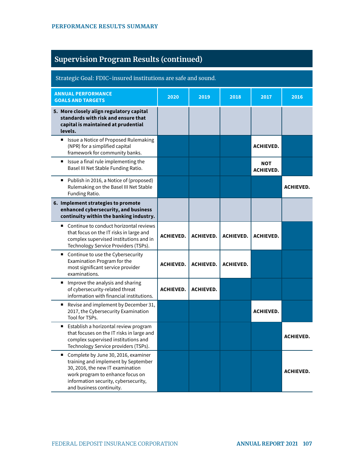| <b>Supervision Program Results (continued)</b> |  |  |
|------------------------------------------------|--|--|
|                                                |  |  |
|                                                |  |  |

| Strategic Goal: FDIC-insured institutions are safe and sound.                                                                                                                                                               |                  |                  |                  |                                |                  |
|-----------------------------------------------------------------------------------------------------------------------------------------------------------------------------------------------------------------------------|------------------|------------------|------------------|--------------------------------|------------------|
| <b>ANNUAL PERFORMANCE</b><br><b>GOALS AND TARGETS</b>                                                                                                                                                                       | 2020             | 2019             | 2018             | 2017                           | 2016             |
| 5. More closely align regulatory capital<br>standards with risk and ensure that<br>capital is maintained at prudential<br>levels.                                                                                           |                  |                  |                  |                                |                  |
| ■ Issue a Notice of Proposed Rulemaking<br>(NPR) for a simplified capital<br>framework for community banks.                                                                                                                 |                  |                  |                  | <b>ACHIEVED.</b>               |                  |
| Issue a final rule implementing the<br>Basel III Net Stable Funding Ratio.                                                                                                                                                  |                  |                  |                  | <b>NOT</b><br><b>ACHIEVED.</b> |                  |
| Publish in 2016, a Notice of (proposed)<br>Rulemaking on the Basel III Net Stable<br>Funding Ratio.                                                                                                                         |                  |                  |                  |                                | <b>ACHIEVED.</b> |
| 6. Implement strategies to promote<br>enhanced cybersecurity, and business<br>continuity within the banking industry.                                                                                                       |                  |                  |                  |                                |                  |
| Continue to conduct horizontal reviews<br>■<br>that focus on the IT risks in large and<br>complex supervised institutions and in<br>Technology Service Providers (TSPs).                                                    | <b>ACHIEVED.</b> | <b>ACHIEVED.</b> | <b>ACHIEVED.</b> | <b>ACHIEVED.</b>               |                  |
| ■ Continue to use the Cybersecurity<br>Examination Program for the<br>most significant service provider<br>examinations.                                                                                                    | <b>ACHIEVED.</b> | <b>ACHIEVED.</b> | <b>ACHIEVED.</b> |                                |                  |
| Improve the analysis and sharing<br>of cybersecurity-related threat<br>information with financial institutions.                                                                                                             | <b>ACHIEVED.</b> | <b>ACHIEVED.</b> |                  |                                |                  |
| Revise and implement by December 31,<br>п<br>2017, the Cybersecurity Examination<br>Tool for TSPs.                                                                                                                          |                  |                  |                  | <b>ACHIEVED.</b>               |                  |
| Establish a horizontal review program<br>٠<br>that focuses on the IT risks in large and<br>complex supervised institutions and<br>Technology Service providers (TSPs).                                                      |                  |                  |                  |                                | <b>ACHIEVED.</b> |
| Complete by June 30, 2016, examiner<br>٠<br>training and implement by September<br>30, 2016, the new IT examination<br>work program to enhance focus on<br>information security, cybersecurity,<br>and business continuity. |                  |                  |                  |                                | <b>ACHIEVED.</b> |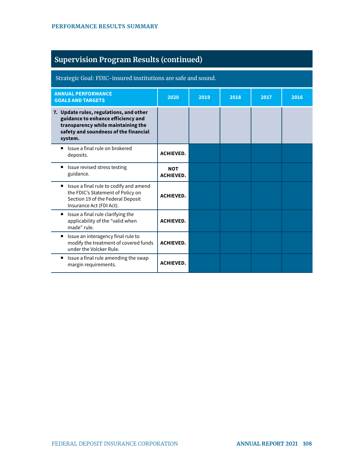| <b>Supervision Program Results (continued)</b>                                                                                                                          |                                |      |      |      |      |
|-------------------------------------------------------------------------------------------------------------------------------------------------------------------------|--------------------------------|------|------|------|------|
| Strategic Goal: FDIC-insured institutions are safe and sound.                                                                                                           |                                |      |      |      |      |
| <b>ANNUAL PERFORMANCE</b><br><b>GOALS AND TARGETS</b>                                                                                                                   | 2020                           | 2019 | 2018 | 2017 | 2016 |
| 7. Update rules, regulations, and other<br>guidance to enhance efficiency and<br>transparency while maintaining the<br>safety and soundness of the financial<br>system. |                                |      |      |      |      |
| Issue a final rule on brokered<br>deposits.                                                                                                                             | <b>ACHIEVED.</b>               |      |      |      |      |
| ■ Issue revised stress testing<br>guidance.                                                                                                                             | <b>NOT</b><br><b>ACHIEVED.</b> |      |      |      |      |
| ■ Issue a final rule to codify and amend<br>the FDIC's Statement of Policy on<br>Section 19 of the Federal Deposit<br>Insurance Act (FDI Act).                          | <b>ACHIEVED.</b>               |      |      |      |      |
| Issue a final rule clarifying the<br>applicability of the "valid when<br>made" rule.                                                                                    | <b>ACHIEVED.</b>               |      |      |      |      |
| Issue an interagency final rule to<br>٠<br>modify the treatment of covered funds<br>under the Volcker Rule.                                                             | <b>ACHIEVED.</b>               |      |      |      |      |
| ■ Issue a final rule amending the swap<br>margin requirements.                                                                                                          | <b>ACHIEVED.</b>               |      |      |      |      |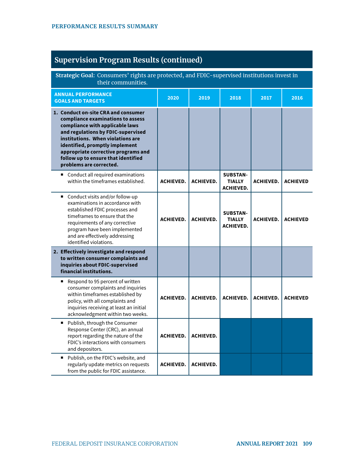| <b>Supervision Program Results (continued)</b> |  |  |
|------------------------------------------------|--|--|
|                                                |  |  |

| Strategic Goal: Consumers' rights are protected, and FDIC-supervised institutions invest in<br>their communities.                                                                                                                                                                                                                 |                  |                  |                                                      |                  |                 |
|-----------------------------------------------------------------------------------------------------------------------------------------------------------------------------------------------------------------------------------------------------------------------------------------------------------------------------------|------------------|------------------|------------------------------------------------------|------------------|-----------------|
| <b>ANNUAL PERFORMANCE</b><br><b>GOALS AND TARGETS</b>                                                                                                                                                                                                                                                                             | 2020             | 2019             | 2018                                                 | 2017             | 2016            |
| 1. Conduct on-site CRA and consumer<br>compliance examinations to assess<br>compliance with applicable laws<br>and regulations by FDIC-supervised<br>institutions. When violations are<br>identified, promptly implement<br>appropriate corrective programs and<br>follow up to ensure that identified<br>problems are corrected. |                  |                  |                                                      |                  |                 |
| Conduct all required examinations<br>٠<br>within the timeframes established.                                                                                                                                                                                                                                                      | <b>ACHIEVED.</b> | <b>ACHIEVED.</b> | <b>SUBSTAN-</b><br><b>TIALLY</b><br><b>ACHIEVED.</b> | <b>ACHIEVED.</b> | <b>ACHIEVED</b> |
| Conduct visits and/or follow-up<br>$\blacksquare$<br>examinations in accordance with<br>established FDIC processes and<br>timeframes to ensure that the<br>requirements of any corrective<br>program have been implemented<br>and are effectively addressing<br>identified violations.                                            | <b>ACHIEVED.</b> | <b>ACHIEVED.</b> | <b>SUBSTAN-</b><br><b>TIALLY</b><br><b>ACHIEVED.</b> | <b>ACHIEVED.</b> | <b>ACHIEVED</b> |
| 2. Effectively investigate and respond<br>to written consumer complaints and<br>inquiries about FDIC-supervised<br>financial institutions.                                                                                                                                                                                        |                  |                  |                                                      |                  |                 |
| Respond to 95 percent of written<br>п<br>consumer complaints and inquiries<br>within timeframes established by<br>policy, with all complaints and<br>inquiries receiving at least an initial<br>acknowledgment within two weeks.                                                                                                  | <b>ACHIEVED.</b> | <b>ACHIEVED.</b> | <b>ACHIEVED.</b>                                     | <b>ACHIEVED.</b> | <b>ACHIEVED</b> |
| ■ Publish, through the Consumer<br>Response Center (CRC), an annual<br>report regarding the nature of the<br>FDIC's interactions with consumers<br>and depositors.                                                                                                                                                                | <b>ACHIEVED.</b> | <b>ACHIEVED.</b> |                                                      |                  |                 |
| Publish, on the FDIC's website, and<br>$\blacksquare$<br>regularly update metrics on requests<br>from the public for FDIC assistance.                                                                                                                                                                                             | <b>ACHIEVED.</b> | <b>ACHIEVED.</b> |                                                      |                  |                 |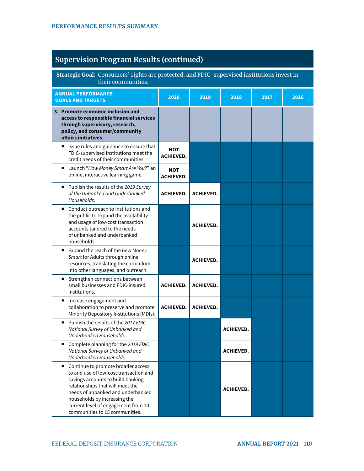| Strategic Goal: Consumers' rights are protected, and FDIC-supervised institutions invest in<br>their communities.                                                                                                                                                                                   |                         |                  |                  |      |      |
|-----------------------------------------------------------------------------------------------------------------------------------------------------------------------------------------------------------------------------------------------------------------------------------------------------|-------------------------|------------------|------------------|------|------|
| <b>ANNUAL PERFORMANCE</b><br><b>GOALS AND TARGETS</b>                                                                                                                                                                                                                                               | 2020                    | 2019             | 2018             | 2017 | 2016 |
| 3. Promote economic inclusion and<br>access to responsible financial services<br>through supervisory, research,<br>policy, and consumer/community<br>affairs initiatives.                                                                                                                           |                         |                  |                  |      |      |
| ■ Issue rules and guidance to ensure that<br>FDIC-supervised institutions meet the<br>credit needs of their communities.                                                                                                                                                                            | NOT<br><b>ACHIEVED.</b> |                  |                  |      |      |
| Launch "How Money Smart Are You?" an<br>online, interactive learning game.                                                                                                                                                                                                                          | NOT<br><b>ACHIEVED.</b> |                  |                  |      |      |
| Publish the results of the 2019 Survey<br>of the Unbanked and Underbanked<br>Households.                                                                                                                                                                                                            | <b>ACHIEVED.</b>        | <b>ACHIEVED.</b> |                  |      |      |
| ■ Conduct outreach to institutions and<br>the public to expand the availability<br>and usage of low-cost transaction<br>accounts tailored to the needs<br>of unbanked and underbanked<br>households.                                                                                                |                         | <b>ACHIEVED.</b> |                  |      |      |
| Expand the reach of the new Money<br>Smart for Adults through online<br>resources, translating the curriculum<br>into other languages, and outreach.                                                                                                                                                |                         | <b>ACHIEVED.</b> |                  |      |      |
| Strengthen connections between<br>ш<br>small businesses and FDIC-insured<br>institutions.                                                                                                                                                                                                           | <b>ACHIEVED.</b>        | <b>ACHIEVED.</b> |                  |      |      |
| Increase engagement and<br>collaboration to preserve and promote<br>Minority Depository Institutions (MDIs).                                                                                                                                                                                        | <b>ACHIEVED.</b>        | <b>ACHIEVED.</b> |                  |      |      |
| Publish the results of the 2017 FDIC<br>٠<br>National Survey of Unbanked and<br>Underbanked Households.                                                                                                                                                                                             |                         |                  | <b>ACHIEVED.</b> |      |      |
| Complete planning for the 2019 FDIC<br>National Survey of Unbanked and<br>Underbanked Households.                                                                                                                                                                                                   |                         |                  | <b>ACHIEVED.</b> |      |      |
| Continue to promote broader access<br>to and use of low-cost transaction and<br>savings accounts to build banking<br>relationships that will meet the<br>needs of unbanked and underbanked<br>households by increasing the<br>current level of engagement from 10<br>communities to 15 communities. |                         |                  | <b>ACHIEVED.</b> |      |      |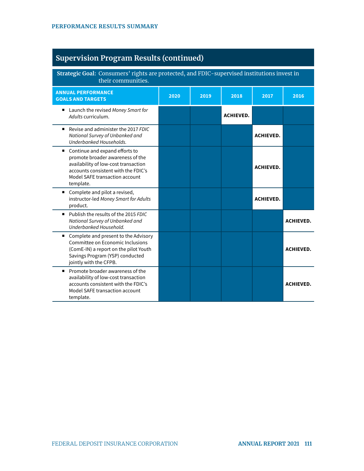**Strategic Goal:** Consumers' rights are protected, and FDIC-supervised institutions invest in their communities. **ANNUAL PERFORMANCE GOALS AND TARGETS 2020 2019 2018 2017 2016**  ■ Launch the revised Money Smart for Adults curriculum. **ACHIEVED.**  Revise and administer the 2017 FDIC National Survey of Unbanked and Underbanked Households. **ACHIEVED.**   $\blacksquare$  Continue and expand efforts to promote broader awareness of the availability of low-cost transaction accounts consistent with the FDIC's Model SAFE transaction account template. **ACHIEVED.**  ■ Complete and pilot a revised, instructor-led Money Smart for Adults product. **ACHIEVED.**  ■ Publish the results of the 2015 FDIC National Survey of Unbanked and Underbanked Household. **ACHIEVED.**  ■ Complete and present to the Advisory Committee on Economic Inclusions (ComE-IN) a report on the pilot Youth Savings Program (YSP) conducted jointly with the CFPB. **ACHIEVED. Promote broader awareness of the** availability of low-cost transaction accounts consistent with the FDIC's Model SAFE transaction account template. **ACHIEVED.**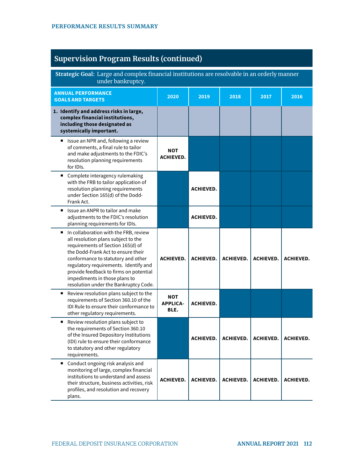| Strategic Goal: Large and complex financial institutions are resolvable in an orderly manner<br>under bankruptcy.                                                                                                                                                                                                                                               |                                       |                  |                    |                    |                  |
|-----------------------------------------------------------------------------------------------------------------------------------------------------------------------------------------------------------------------------------------------------------------------------------------------------------------------------------------------------------------|---------------------------------------|------------------|--------------------|--------------------|------------------|
| <b>ANNUAL PERFORMANCE</b><br><b>GOALS AND TARGETS</b>                                                                                                                                                                                                                                                                                                           | 2020                                  | 2019             | 2018               | 2017               | 2016             |
| 1. Identify and address risks in large,<br>complex financial institutions,<br>including those designated as<br>systemically important.                                                                                                                                                                                                                          |                                       |                  |                    |                    |                  |
| Issue an NPR and, following a review<br>of comments, a final rule to tailor<br>and make adjustments to the FDIC's<br>resolution planning requirements<br>for IDIs.                                                                                                                                                                                              | <b>NOT</b><br><b>ACHIEVED.</b>        |                  |                    |                    |                  |
| Complete interagency rulemaking<br>п<br>with the FRB to tailor application of<br>resolution planning requirements<br>under Section 165(d) of the Dodd-<br>Frank Act.                                                                                                                                                                                            |                                       | <b>ACHIEVED.</b> |                    |                    |                  |
| Issue an ANPR to tailor and make<br>$\blacksquare$<br>adjustments to the FDIC's resolution<br>planning requirements for IDIs.                                                                                                                                                                                                                                   |                                       | <b>ACHIEVED.</b> |                    |                    |                  |
| In collaboration with the FRB, review<br>٠<br>all resolution plans subject to the<br>requirements of Section 165(d) of<br>the Dodd-Frank Act to ensure their<br>conformance to statutory and other<br>regulatory requirements. Identify and<br>provide feedback to firms on potential<br>impediments in those plans to<br>resolution under the Bankruptcy Code. | <b>ACHIEVED.</b>                      | <b>ACHIEVED.</b> | <b>ACHIEVED.</b>   | <b>ACHIEVED.</b>   | <b>ACHIEVED.</b> |
| Review resolution plans subject to the<br>п<br>requirements of Section 360.10 of the<br>IDI Rule to ensure their conformance to<br>other regulatory requirements.                                                                                                                                                                                               | <b>NOT</b><br><b>APPLICA-</b><br>BLE. | <b>ACHIEVED.</b> |                    |                    |                  |
| Review resolution plans subject to<br>п<br>the requirements of Section 360.10<br>of the Insured Depository Institutions<br>(IDI) rule to ensure their conformance<br>to statutory and other regulatory<br>requirements.                                                                                                                                         |                                       | <b>ACHIEVED.</b> | <b>ACHIEVED.</b> I | <b>ACHIEVED.</b> I | ACHIEVED.        |
| ■ Conduct ongoing risk analysis and<br>monitoring of large, complex financial<br>institutions to understand and assess<br>their structure, business activities, risk<br>profiles, and resolution and recovery<br>plans.                                                                                                                                         | <b>ACHIEVED.</b>                      | <b>ACHIEVED.</b> | <b>ACHIEVED.</b>   | <b>ACHIEVED.</b>   | <b>ACHIEVED.</b> |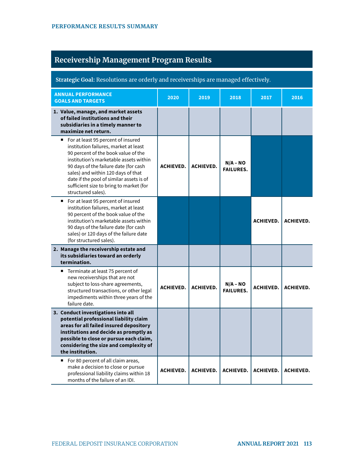# **Receivership Management Program Results**

| Strategic Goal: Resolutions are orderly and receiverships are managed effectively.                                                                                                                                                                                                                                                                         |                  |                  |                                |                  |                  |
|------------------------------------------------------------------------------------------------------------------------------------------------------------------------------------------------------------------------------------------------------------------------------------------------------------------------------------------------------------|------------------|------------------|--------------------------------|------------------|------------------|
| <b>ANNUAL PERFORMANCE</b><br><b>GOALS AND TARGETS</b>                                                                                                                                                                                                                                                                                                      | 2020             | 2019             | 2018                           | 2017             | 2016             |
| 1. Value, manage, and market assets<br>of failed institutions and their<br>subsidiaries in a timely manner to<br>maximize net return.                                                                                                                                                                                                                      |                  |                  |                                |                  |                  |
| ■ For at least 95 percent of insured<br>institution failures, market at least<br>90 percent of the book value of the<br>institution's marketable assets within<br>90 days of the failure date (for cash<br>sales) and within 120 days of that<br>date if the pool of similar assets is of<br>sufficient size to bring to market (for<br>structured sales). | <b>ACHIEVED.</b> | <b>ACHIEVED.</b> | $N/A - NO$<br><b>FAILURES.</b> |                  |                  |
| ■ For at least 95 percent of insured<br>institution failures, market at least<br>90 percent of the book value of the<br>institution's marketable assets within<br>90 days of the failure date (for cash<br>sales) or 120 days of the failure date<br>(for structured sales).                                                                               |                  |                  |                                | <b>ACHIEVED.</b> | <b>ACHIEVED.</b> |
| 2. Manage the receivership estate and<br>its subsidiaries toward an orderly<br>termination.                                                                                                                                                                                                                                                                |                  |                  |                                |                  |                  |
| ■ Terminate at least 75 percent of<br>new receiverships that are not<br>subject to loss-share agreements,<br>structured transactions, or other legal<br>impediments within three years of the<br>failure date.                                                                                                                                             | <b>ACHIEVED.</b> | <b>ACHIEVED.</b> | $N/A - NO$<br><b>FAILURES.</b> | <b>ACHIEVED.</b> | <b>ACHIEVED.</b> |
| 3. Conduct investigations into all<br>potential professional liability claim<br>areas for all failed insured depository<br>institutions and decide as promptly as<br>possible to close or pursue each claim,<br>considering the size and complexity of<br>the institution.                                                                                 |                  |                  |                                |                  |                  |
| For 80 percent of all claim areas,<br>$\blacksquare$<br>make a decision to close or pursue<br>professional liability claims within 18<br>months of the failure of an IDI.                                                                                                                                                                                  | <b>ACHIEVED.</b> | <b>ACHIEVED.</b> | <b>ACHIEVED.</b>               | <b>ACHIEVED.</b> | <b>ACHIEVED.</b> |